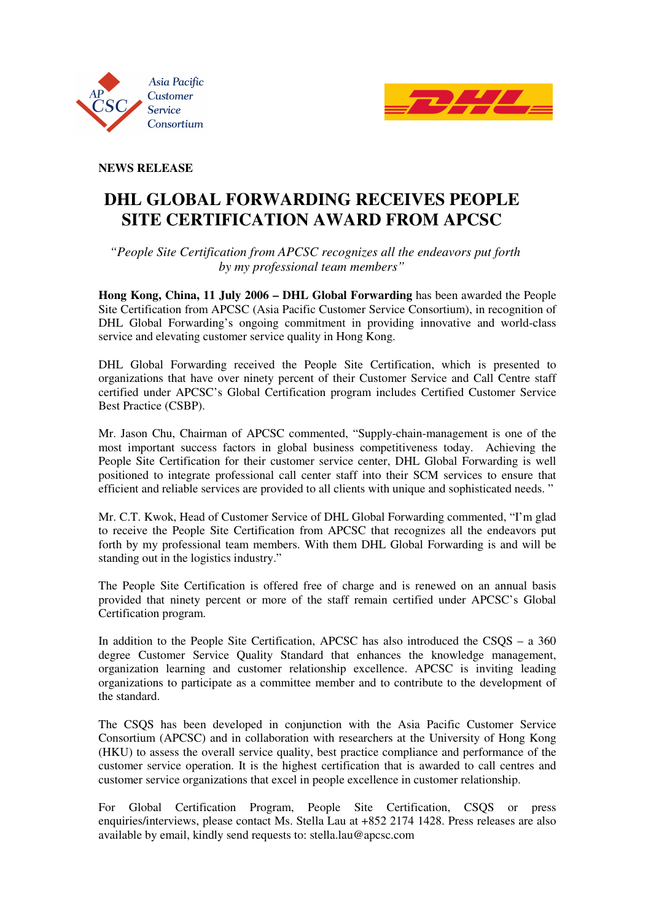



**NEWS RELEASE** 

## **DHL GLOBAL FORWARDING RECEIVES PEOPLE SITE CERTIFICATION AWARD FROM APCSC**

 *"People Site Certification from APCSC recognizes all the endeavors put forth by my professional team members"* 

**Hong Kong, China, 11 July 2006 – DHL Global Forwarding** has been awarded the People Site Certification from APCSC (Asia Pacific Customer Service Consortium), in recognition of DHL Global Forwarding's ongoing commitment in providing innovative and world-class service and elevating customer service quality in Hong Kong.

DHL Global Forwarding received the People Site Certification, which is presented to organizations that have over ninety percent of their Customer Service and Call Centre staff certified under APCSC's Global Certification program includes Certified Customer Service Best Practice (CSBP).

Mr. Jason Chu, Chairman of APCSC commented, "Supply-chain-management is one of the most important success factors in global business competitiveness today. Achieving the People Site Certification for their customer service center, DHL Global Forwarding is well positioned to integrate professional call center staff into their SCM services to ensure that efficient and reliable services are provided to all clients with unique and sophisticated needs. "

Mr. C.T. Kwok, Head of Customer Service of DHL Global Forwarding commented, "I'm glad to receive the People Site Certification from APCSC that recognizes all the endeavors put forth by my professional team members. With them DHL Global Forwarding is and will be standing out in the logistics industry."

The People Site Certification is offered free of charge and is renewed on an annual basis provided that ninety percent or more of the staff remain certified under APCSC's Global Certification program.

In addition to the People Site Certification, APCSC has also introduced the CSQS – a 360 degree Customer Service Quality Standard that enhances the knowledge management, organization learning and customer relationship excellence. APCSC is inviting leading organizations to participate as a committee member and to contribute to the development of the standard.

The CSQS has been developed in conjunction with the Asia Pacific Customer Service Consortium (APCSC) and in collaboration with researchers at the University of Hong Kong (HKU) to assess the overall service quality, best practice compliance and performance of the customer service operation. It is the highest certification that is awarded to call centres and customer service organizations that excel in people excellence in customer relationship.

For Global Certification Program, People Site Certification, CSQS or press enquiries/interviews, please contact Ms. Stella Lau at +852 2174 1428. Press releases are also available by email, kindly send requests to: stella.lau@apcsc.com